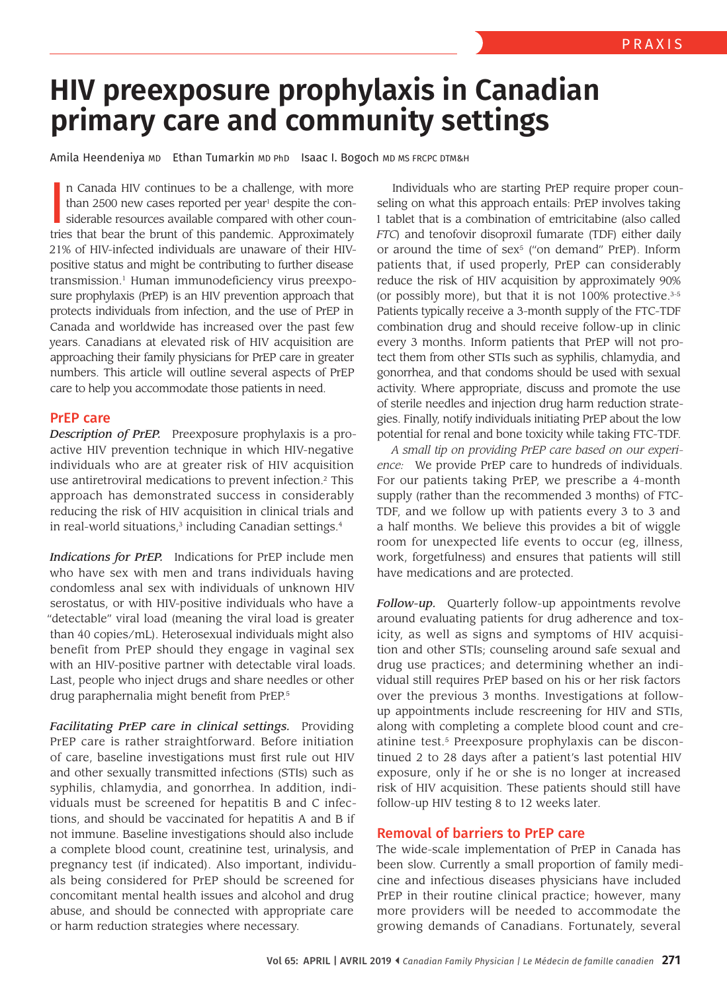# **HIV preexposure prophylaxis in Canadian primary care and community settings**

Amila Heendeniya MD Ethan Tumarkin MD PhD Isaac I. Bogoch MD MS FRCPC DTM&H

In Canada HIV continues to be a challenge, with more than 2500 new cases reported per year<sup>1</sup> despite the considerable resources available compared with other countries that bear the brunt of this pandemic. Approximately n Canada HIV continues to be a challenge, with more than 2500 new cases reported per year<sup>1</sup> despite the considerable resources available compared with other coun-21% of HIV-infected individuals are unaware of their HIVpositive status and might be contributing to further disease transmission.<sup>1</sup> Human immunodeficiency virus preexposure prophylaxis (PrEP) is an HIV prevention approach that protects individuals from infection, and the use of PrEP in Canada and worldwide has increased over the past few years. Canadians at elevated risk of HIV acquisition are approaching their family physicians for PrEP care in greater numbers. This article will outline several aspects of PrEP care to help you accommodate those patients in need.

## PrEP care

*Description of PrEP.* Preexposure prophylaxis is a proactive HIV prevention technique in which HIV-negative individuals who are at greater risk of HIV acquisition use antiretroviral medications to prevent infection.<sup>2</sup> This approach has demonstrated success in considerably reducing the risk of HIV acquisition in clinical trials and in real-world situations,<sup>3</sup> including Canadian settings.<sup>4</sup>

*Indications for PrEP.* Indications for PrEP include men who have sex with men and trans individuals having condomless anal sex with individuals of unknown HIV serostatus, or with HIV-positive individuals who have a "detectable" viral load (meaning the viral load is greater than 40 copies/mL). Heterosexual individuals might also benefit from PrEP should they engage in vaginal sex with an HIV-positive partner with detectable viral loads. Last, people who inject drugs and share needles or other drug paraphernalia might benefit from PrEP.<sup>5</sup>

*Facilitating PrEP care in clinical settings.* Providing PrEP care is rather straightforward. Before initiation of care, baseline investigations must first rule out HIV and other sexually transmitted infections (STIs) such as syphilis, chlamydia, and gonorrhea. In addition, individuals must be screened for hepatitis B and C infections, and should be vaccinated for hepatitis A and B if not immune. Baseline investigations should also include a complete blood count, creatinine test, urinalysis, and pregnancy test (if indicated). Also important, individuals being considered for PrEP should be screened for concomitant mental health issues and alcohol and drug abuse, and should be connected with appropriate care or harm reduction strategies where necessary.

Individuals who are starting PrEP require proper counseling on what this approach entails: PrEP involves taking 1 tablet that is a combination of emtricitabine (also called *FTC*) and tenofovir disoproxil fumarate (TDF) either daily or around the time of sex<sup>5</sup> ("on demand" PrEP). Inform patients that, if used properly, PrEP can considerably reduce the risk of HIV acquisition by approximately 90% (or possibly more), but that it is not  $100\%$  protective.<sup>3-5</sup> Patients typically receive a 3-month supply of the FTC-TDF combination drug and should receive follow-up in clinic every 3 months. Inform patients that PrEP will not protect them from other STIs such as syphilis, chlamydia, and gonorrhea, and that condoms should be used with sexual activity. Where appropriate, discuss and promote the use of sterile needles and injection drug harm reduction strategies. Finally, notify individuals initiating PrEP about the low potential for renal and bone toxicity while taking FTC-TDF.

*A small tip on providing PrEP care based on our experience:* We provide PrEP care to hundreds of individuals. For our patients taking PrEP, we prescribe a 4-month supply (rather than the recommended 3 months) of FTC-TDF, and we follow up with patients every 3 to 3 and a half months. We believe this provides a bit of wiggle room for unexpected life events to occur (eg, illness, work, forgetfulness) and ensures that patients will still have medications and are protected.

*Follow-up.* Quarterly follow-up appointments revolve around evaluating patients for drug adherence and toxicity, as well as signs and symptoms of HIV acquisition and other STIs; counseling around safe sexual and drug use practices; and determining whether an individual still requires PrEP based on his or her risk factors over the previous 3 months. Investigations at followup appointments include rescreening for HIV and STIs, along with completing a complete blood count and creatinine test.<sup>5</sup> Preexposure prophylaxis can be discontinued 2 to 28 days after a patient's last potential HIV exposure, only if he or she is no longer at increased risk of HIV acquisition. These patients should still have follow-up HIV testing 8 to 12 weeks later.

## Removal of barriers to PrEP care

The wide-scale implementation of PrEP in Canada has been slow. Currently a small proportion of family medicine and infectious diseases physicians have included PrEP in their routine clinical practice; however, many more providers will be needed to accommodate the growing demands of Canadians. Fortunately, several